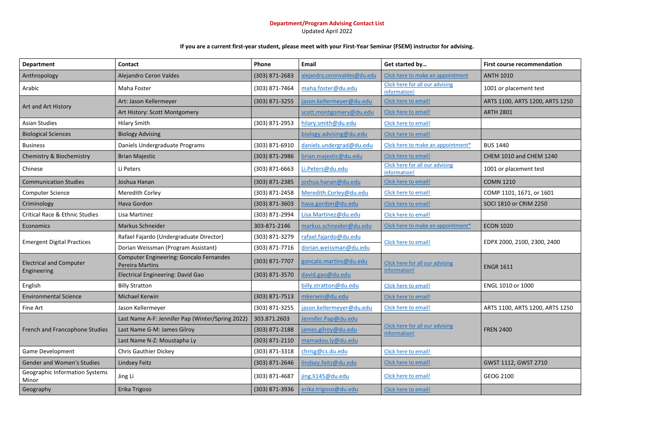## **Department/Program Advising Contact List**

Updated April 2022

## **If you are a current first-year student, please meet with your First-Year Seminar (FSEM) instructor for advising.**

| <b>Department</b>                              | <b>Contact</b>                                                    | Phone              | Email                        | Get started by                                  | First course recom        |
|------------------------------------------------|-------------------------------------------------------------------|--------------------|------------------------------|-------------------------------------------------|---------------------------|
| Anthropology                                   | Alejandro Ceron Valdes                                            | (303) 871-2683     | alejandro.ceronvaldes@du.edu | Click here to make an appointment               | <b>ANTH 1010</b>          |
| Arabic                                         | Maha Foster                                                       | (303) 871-7464     | maha.foster@du.edu           | Click here for all our advising<br>information! | 1001 or placement         |
| Art and Art History                            | Art: Jason Kellermeyer                                            | (303) 871-3255     | jason.kellermeyer@du.edu     | Click here to email!                            | <b>ARTS 1100, ARTS 13</b> |
|                                                | Art History: Scott Montgomery                                     |                    | scott.montgomery@du.edu      | Click here to email!                            | <b>ARTH 2801</b>          |
| <b>Asian Studies</b>                           | <b>Hilary Smith</b>                                               | (303) 871-2953     | hilary.smith@du.edu          | Click here to email!                            |                           |
| <b>Biological Sciences</b>                     | <b>Biology Advising</b>                                           |                    | biology.advising@du.edu      | Click here to email!                            |                           |
| <b>Business</b>                                | Daniels Undergraduate Programs                                    | (303) 871-6910     | daniels.undergrad@du.edu     | Click here to make an appointment*              | <b>BUS 1440</b>           |
| Chemistry & Biochemistry                       | <b>Brian Majestic</b>                                             | (303) 871-2986     | brian.majestic@du.edu        | Click here to email!                            | CHEM 1010 and CH          |
| Chinese                                        | Li Peters                                                         | $(303)$ 871-6663   | Li.Peters@du.edu             | Click here for all our advising<br>information! | 1001 or placement         |
| <b>Communication Studies</b>                   | Joshua Hanan                                                      | (303) 871-2385     | joshua.hanan@du.edu          | Click here to email!                            | <b>COMN 1210</b>          |
| <b>Computer Science</b>                        | Meredith Corley                                                   | (303) 871-2458     | Meredith.Corley@du.edu       | Click here to email!                            | COMP 1101, 1671,          |
| Criminology                                    | Hava Gordon                                                       | (303) 871-3603     | hava.gordon@du.edu           | Click here to email!                            | SOCI 1810 or CRIM         |
| <b>Critical Race &amp; Ethnic Studies</b>      | Lisa Martinez                                                     | (303) 871-2994     | Lisa.Martinez@du.edu         | Click here to email!                            |                           |
| <b>Economics</b>                               | Markus Schneider                                                  | 303-871-2146       | markus.schneider@du.edu      | Click here to make an appointment*              | <b>ECON 1020</b>          |
|                                                | Rafael Fajardo (Undergraduate Director)                           | (303) 871-3279     | rafael.fajardo@du.edu        |                                                 | EDPX 2000, 2100, 2        |
| <b>Emergent Digital Practices</b>              | Dorian Weissman (Program Assistant)                               | (303) 871-7716     | dorian.weissman@du.edu       | Click here to email!                            |                           |
| <b>Electrical and Computer</b><br>Engineering  | Computer Engineering: Goncalo Fernandes<br><b>Pereira Martins</b> | (303) 871-7707     | goncalo.martins@du.edu       | <b>Click here for all our advising</b>          | <b>ENGR 1611</b>          |
|                                                | Electrical Engineering: David Gao                                 | (303) 871-3570     | david.gao@du.edu             | information!                                    |                           |
| English                                        | <b>Billy Stratton</b>                                             |                    | billy.stratton@du.edu        | Click here to email!                            | ENGL 1010 or 1000         |
| <b>Environmental Science</b>                   | Michael Kerwin                                                    | $(303) 871 - 7513$ | mkerwin@du.edu               | Click here to email!                            |                           |
| Fine Art                                       | Jason Kellermeyer                                                 | (303) 871-3255     | jason.kellermeyer@du.edu     | Click here to email!                            | ARTS 1100, ARTS 1         |
| French and Francophone Studies                 | Last Name A-F: Jennifer Pap (Winter/Spring 2022)                  | 303.871.2603       | Jennifer.Pap@du.edu          |                                                 | <b>FREN 2400</b>          |
|                                                | Last Name G-M: James Gilroy                                       | $(303)$ 871-2188   | james.gilroy@du.edu          | Click here for all our advising<br>information! |                           |
|                                                | Last Name N-Z: Moustapha Ly                                       | (303) 871-2110     | mamadou.ly@du.edu            |                                                 |                           |
| Game Development                               | <b>Chris Gauthier Dickey</b>                                      | (303) 871-3318     | chrisg@cs.du.edu             | Click here to email!                            |                           |
| <b>Gender and Women's Studies</b>              | Lindsey Feitz                                                     | (303) 871-2646     | lindsey.feitz@du.edu         | Click here to email!                            | <b>GWST 1112, GWST</b>    |
| <b>Geographic Information Systems</b><br>Minor | Jing Li                                                           | (303) 871-4687     | jing.li145@du.edu            | Click here to email!                            | GEOG 2100                 |
| Geography                                      | Erika Trigoso                                                     | (303) 871-3936     | erika.trigoso@du.edu         | Click here to email!                            |                           |

**First course recommendation** 

1001 or placement test

ARTS 1100, ARTS 1200, ARTS 1250

CHEM 1010 and CHEM 1240

1001 or placement test

COMP 1101, 1671, or 1601

SOCI 1810 or CRIM 2250

EDPX 2000, 2100, 2300, 2400

ARTS 1100, ARTS 1200, ARTS 1250

GWST 1112, GWST 2710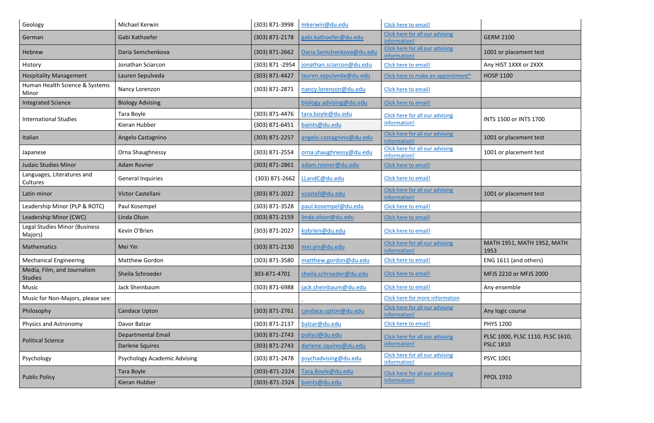| Geology                                  | Michael Kerwin                      | (303) 871-3998       | mkerwin@du.edu           | Click here to email!                                   |                                    |
|------------------------------------------|-------------------------------------|----------------------|--------------------------|--------------------------------------------------------|------------------------------------|
| German                                   | Gabi Kathoefer                      | $(303) 871 - 2178$   | gabi.kathoefer@du.edu    | Click here for all our advising<br>information!        | <b>GERM 2100</b>                   |
| Hebrew                                   | Daria Semchenkova                   | $(303)$ 871-2662     | Daria.Semchenkova@du.edu | Click here for all our advising<br>information!        | 1001 or placement test             |
| History                                  | Jonathan Sciarcon                   | (303) 871 - 2954     | jonathan.sciarcon@du.edu | Click here to email!                                   | Any HIST 1XXX or 2XXX              |
| <b>Hospitality Management</b>            | Lauren Sepulveda                    | (303) 871-4427       | lauren.sepulveda@du.edu  | Click here to make an appointment*                     | HOSP 1100                          |
| Human Health Science & Systems<br>Minor  | Nancy Lorenzon                      | $(303)$ 871-2871     | nancy.lorenzon@du.edu    | Click here to email!                                   |                                    |
| <b>Integrated Science</b>                | <b>Biology Advising</b>             |                      | biology.advising@du.edu  | Click here to email!                                   |                                    |
| <b>International Studies</b>             | Tara Boyle                          | (303) 871-4476       | tara.boyle@du.edu        | Click here for all our advising                        | INTS 1500 or INTS 1700             |
|                                          | Kieran Hubber                       | (303) 871-6451       | baints@du.edu            | information!                                           |                                    |
| Italian                                  | Angelo Castagnino                   | (303) 871-2257       | angelo.castagnino@du.edu | Click here for all our advising<br>information!        | 1001 or placement test             |
| Japanese                                 | Orna Shaughnessy                    | (303) 871-2554       | orna.shaughnessy@du.edu  | Click here for all our advising<br>information!        | 1001 or placement test             |
| <b>Judaic Studies Minor</b>              | <b>Adam Rovner</b>                  | (303) 871-2861       | adam.rovner@du.edu       | Click here to email!                                   |                                    |
| Languages, Literatures and<br>Cultures   | <b>General Inquiries</b>            | $(303)$ 871-2662     | LLandC@du.edu            | Click here to email!                                   |                                    |
| Latin minor                              | Victor Castellani                   | (303) 871-2022       | vcastell@du.edu          | <b>Click here for all our advising</b><br>information! | 1001 or placement test             |
| Leadership Minor (PLP & ROTC)            | Paul Kosempel                       | (303) 871-3528       | paul.kosempel@du.edu     | Click here to email!                                   |                                    |
| Leadership Minor (CWC)                   | Linda Olson                         | (303) 871-2159       | linda.olson@du.edu       | Click here to email!                                   |                                    |
| Legal Studies Minor (Business<br>Majors) | Kevin O'Brien                       | $(303)$ 871-2027     | kobrien@du.edu           | Click here to email!                                   |                                    |
| Mathematics                              | Mei Yin                             | $(303)$ 871-2130     | mei.yin@du.edu           | Click here for all our advising<br>information!        | MATH 1951, MATH 1952, MATH<br>1953 |
| <b>Mechanical Engineering</b>            | Matthew Gordon                      | (303) 871-3580       | matthew.gordon@du.edu    | Click here to email!                                   | ENG 1611 (and others)              |
| Media, Film, and Journalism<br>Studies   | Sheila Schroeder                    | 303-871-4701         | sheila.schroeder@du.edu  | Click here to email!                                   | MFJS 2210 or MFJS 2000             |
| Music                                    | Jack Sheinbaum                      | (303) 871-6988       | jack.sheinbaum@du.edu    | Click here to email!                                   | Any ensemble                       |
| Music for Non-Majors, please see:        |                                     |                      |                          | Click here for more information                        |                                    |
| Philosophy                               | Candace Upton                       | $(303)$ 871-2761     | candace.upton@du.edu     | Click here for all our advising<br>information!        | Any logic course                   |
| <b>Physics and Astronomy</b>             | Davor Balzar                        | $(303)$ 871-2137     | balzar@du.edu            | Click here to email!                                   | <b>PHYS 1200</b>                   |
| <b>Political Science</b>                 | Departmental Email                  | (303) 871-2743       | polisci@du.edu           | Click here for all our advising                        | PLSC 1000, PLSC 1110, PLSC 1610,   |
|                                          | <b>Darlene Squires</b>              | (303) 871-2743       | darlene.squires@du.edu   | information!                                           | <b>PSLC 1810</b>                   |
| Psychology                               | <b>Psychology Academic Advising</b> | $(303)$ 871-2478     | psychadvising@du.edu     | Click here for all our advising<br>information!        | PSYC 1001                          |
| <b>Public Policy</b>                     | Tara Boyle                          | $(303) - 871 - 2324$ | Tara.Boyle@du.edu        | Click here for all our advising                        | <b>PPOL 1910</b>                   |
|                                          | Kieran Hubber                       | (303)-871-2324       | baints@du.edu            | information!                                           |                                    |